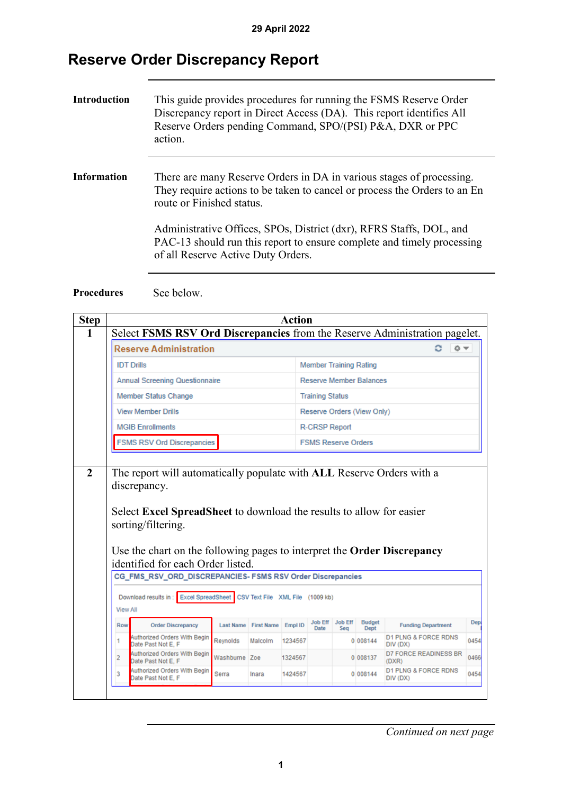## **Reserve Order Discrepancy Report**

| <b>Introduction</b> | This guide provides procedures for running the FSMS Reserve Order<br>Discrepancy report in Direct Access (DA). This report identifies All<br>Reserve Orders pending Command, SPO/(PSI) P&A, DXR or PPC<br>action. |
|---------------------|-------------------------------------------------------------------------------------------------------------------------------------------------------------------------------------------------------------------|
| <b>Information</b>  | There are many Reserve Orders in DA in various stages of processing.<br>They require actions to be taken to cancel or process the Orders to an En<br>route or Finished status.                                    |
|                     | Administrative Offices, SPOs, District (dxr), RFRS Staffs, DOL, and<br>PAC-13 should run this report to ensure complete and timely processing<br>of all Reserve Active Duty Orders.                               |

Procedures See below.

| <b>Step</b> |                                                                            |                                                                                                                                           |               |                                  | <b>Action</b>              |                                |                       |                       |                                             |      |
|-------------|----------------------------------------------------------------------------|-------------------------------------------------------------------------------------------------------------------------------------------|---------------|----------------------------------|----------------------------|--------------------------------|-----------------------|-----------------------|---------------------------------------------|------|
| 1           | Select FSMS RSV Ord Discrepancies from the Reserve Administration pagelet. |                                                                                                                                           |               |                                  |                            |                                |                       |                       |                                             |      |
|             | <b>Reserve Administration</b>                                              |                                                                                                                                           |               |                                  |                            |                                |                       | 章マ                    |                                             |      |
|             |                                                                            | <b>IDT Drills</b>                                                                                                                         |               |                                  |                            | <b>Member Training Rating</b>  |                       |                       |                                             |      |
|             |                                                                            | <b>Annual Screening Questionnaire</b>                                                                                                     |               |                                  |                            | <b>Reserve Member Balances</b> |                       |                       |                                             |      |
|             |                                                                            | <b>Member Status Change</b>                                                                                                               |               |                                  |                            | <b>Training Status</b>         |                       |                       |                                             |      |
|             |                                                                            | <b>View Member Drills</b>                                                                                                                 |               |                                  |                            | Reserve Orders (View Only)     |                       |                       |                                             |      |
|             |                                                                            | <b>MGIB Enrollments</b>                                                                                                                   |               |                                  |                            | <b>R-CRSP Report</b>           |                       |                       |                                             |      |
|             |                                                                            | <b>FSMS RSV Ord Discrepancies</b>                                                                                                         |               |                                  | <b>FSMS Reserve Orders</b> |                                |                       |                       |                                             |      |
|             |                                                                            |                                                                                                                                           |               |                                  |                            |                                |                       |                       |                                             |      |
|             |                                                                            | sorting/filtering.<br>Use the chart on the following pages to interpret the <b>Order Discrepancy</b><br>identified for each Order listed. |               |                                  |                            |                                |                       |                       |                                             |      |
|             | CG_FMS_RSV_ORD_DISCREPANCIES-FSMS RSV Order Discrepancies                  |                                                                                                                                           |               |                                  |                            |                                |                       |                       |                                             |      |
|             | <b>View All</b>                                                            | Download results in: Excel SpreadSheet                                                                                                    |               | CSV Text File XML File (1009 kb) |                            |                                |                       |                       |                                             |      |
|             | Row                                                                        | <b>Order Discrepancy</b>                                                                                                                  |               | Last Name First Name Empl ID     |                            | <b>Job Eff</b><br>Date         | <b>Job Eff</b><br>Seg | <b>Budget</b><br>Dept | <b>Funding Department</b>                   | Dep  |
|             | 1                                                                          | Authorized Orders With Begin<br>Date Past Not E. F                                                                                        | Reynolds      | Malcolm                          | 1234567                    |                                |                       | 0 008144              | <b>D1 PLNG &amp; FORCE RDNS</b><br>DIV (DX) | 0454 |
|             | $\overline{2}$                                                             | Authorized Orders With Begin<br>Date Past Not E. F                                                                                        | Washburne Zoe |                                  | 1324567                    |                                |                       | 0 008137              | <b>D7 FORCE READINESS BR</b><br>(DXR)       | 0466 |
|             | 3                                                                          | Authorized Orders With Begin<br>Date Past Not E, F                                                                                        | Serra         | Inara                            | 1424567                    |                                |                       | 0 008144              | D1 PLNG & FORCE RDNS<br>DIV (DX)            | 0454 |
|             |                                                                            |                                                                                                                                           |               |                                  |                            |                                |                       |                       |                                             |      |

*Continued on next page*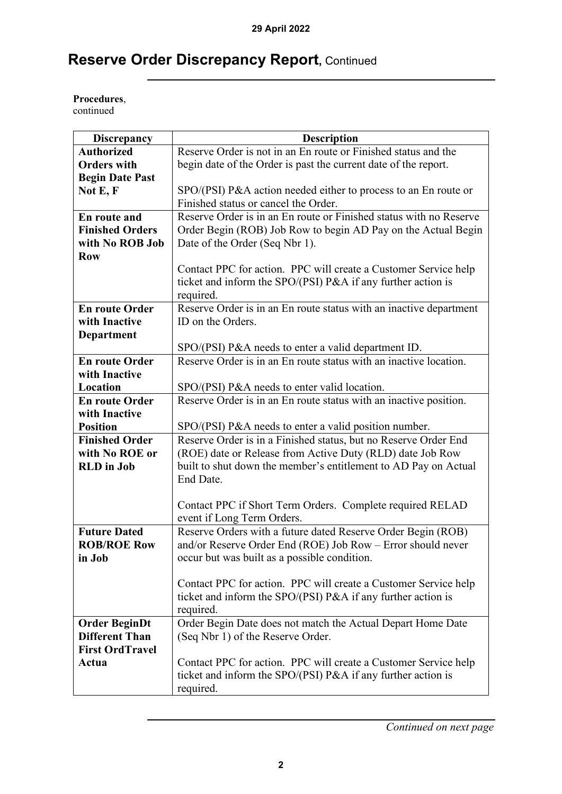## **Reserve Order Discrepancy Report,** Continued

**Procedures**, continued

| <b>Discrepancy</b>     | <b>Description</b>                                                 |
|------------------------|--------------------------------------------------------------------|
| <b>Authorized</b>      | Reserve Order is not in an En route or Finished status and the     |
| <b>Orders with</b>     | begin date of the Order is past the current date of the report.    |
| <b>Begin Date Past</b> |                                                                    |
| Not $E, F$             | SPO/(PSI) P&A action needed either to process to an En route or    |
|                        | Finished status or cancel the Order.                               |
| En route and           | Reserve Order is in an En route or Finished status with no Reserve |
| <b>Finished Orders</b> | Order Begin (ROB) Job Row to begin AD Pay on the Actual Begin      |
| with No ROB Job        | Date of the Order (Seq Nbr 1).                                     |
| <b>Row</b>             |                                                                    |
|                        | Contact PPC for action. PPC will create a Customer Service help    |
|                        | ticket and inform the SPO/(PSI) P&A if any further action is       |
|                        | required.                                                          |
| <b>En route Order</b>  | Reserve Order is in an En route status with an inactive department |
| with Inactive          | ID on the Orders.                                                  |
| <b>Department</b>      |                                                                    |
|                        | SPO/(PSI) P&A needs to enter a valid department ID.                |
| <b>En route Order</b>  | Reserve Order is in an En route status with an inactive location.  |
| with Inactive          |                                                                    |
| Location               | SPO/(PSI) P&A needs to enter valid location.                       |
| <b>En route Order</b>  | Reserve Order is in an En route status with an inactive position.  |
| with Inactive          |                                                                    |
| <b>Position</b>        | SPO/(PSI) P&A needs to enter a valid position number.              |
| <b>Finished Order</b>  | Reserve Order is in a Finished status, but no Reserve Order End    |
| with No ROE or         | (ROE) date or Release from Active Duty (RLD) date Job Row          |
| <b>RLD</b> in Job      | built to shut down the member's entitlement to AD Pay on Actual    |
|                        | End Date.                                                          |
|                        |                                                                    |
|                        | Contact PPC if Short Term Orders. Complete required RELAD          |
|                        | event if Long Term Orders.                                         |
| <b>Future Dated</b>    | Reserve Orders with a future dated Reserve Order Begin (ROB)       |
| <b>ROB/ROE Row</b>     | and/or Reserve Order End (ROE) Job Row - Error should never        |
| in Job                 | occur but was built as a possible condition.                       |
|                        |                                                                    |
|                        | Contact PPC for action. PPC will create a Customer Service help    |
|                        | ticket and inform the SPO/(PSI) P&A if any further action is       |
|                        | required.                                                          |
| <b>Order BeginDt</b>   | Order Begin Date does not match the Actual Depart Home Date        |
| <b>Different Than</b>  | (Seq Nbr 1) of the Reserve Order.                                  |
| <b>First OrdTravel</b> |                                                                    |
| Actua                  | Contact PPC for action. PPC will create a Customer Service help    |
|                        | ticket and inform the SPO/(PSI) P&A if any further action is       |
|                        | required.                                                          |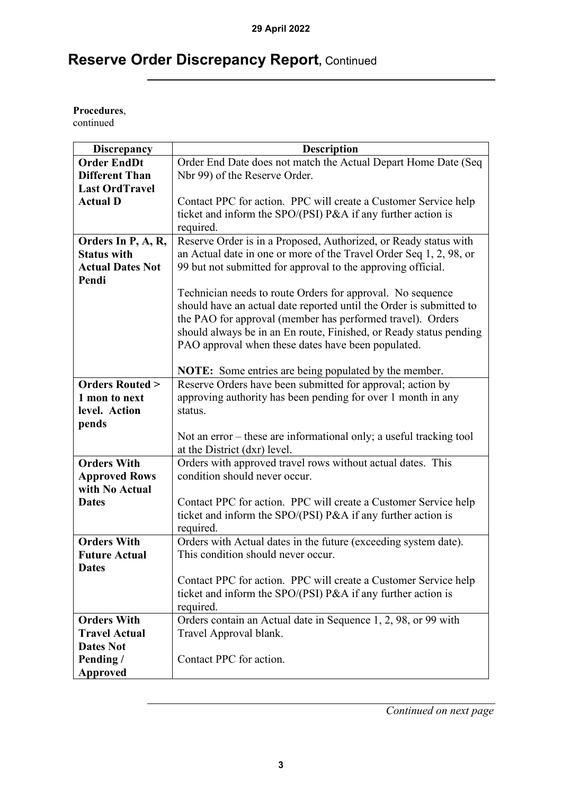## **Reserve Order Discrepancy Report,** Continued

**Procedures**,

continued

| <b>Discrepancy</b>        | <b>Description</b>                                                  |
|---------------------------|---------------------------------------------------------------------|
| <b>Order EndDt</b>        | Order End Date does not match the Actual Depart Home Date (Seq      |
| <b>Different Than</b>     | Nbr 99) of the Reserve Order.                                       |
| <b>Last OrdTravel</b>     |                                                                     |
| <b>Actual D</b>           | Contact PPC for action. PPC will create a Customer Service help     |
|                           | ticket and inform the SPO/(PSI) P&A if any further action is        |
|                           | required.                                                           |
| Orders In P, A, R,        | Reserve Order is in a Proposed, Authorized, or Ready status with    |
| <b>Status with</b>        | an Actual date in one or more of the Travel Order Seq 1, 2, 98, or  |
| <b>Actual Dates Not</b>   | 99 but not submitted for approval to the approving official.        |
| Pendi                     |                                                                     |
|                           | Technician needs to route Orders for approval. No sequence          |
|                           | should have an actual date reported until the Order is submitted to |
|                           | the PAO for approval (member has performed travel). Orders          |
|                           | should always be in an En route, Finished, or Ready status pending  |
|                           | PAO approval when these dates have been populated.                  |
|                           |                                                                     |
|                           | <b>NOTE:</b> Some entries are being populated by the member.        |
| <b>Orders Routed &gt;</b> | Reserve Orders have been submitted for approval; action by          |
| 1 mon to next             | approving authority has been pending for over 1 month in any        |
| level. Action             | status.                                                             |
| pends                     |                                                                     |
|                           | Not an error – these are informational only; a useful tracking tool |
|                           | at the District (dxr) level.                                        |
| <b>Orders With</b>        | Orders with approved travel rows without actual dates. This         |
| <b>Approved Rows</b>      | condition should never occur.                                       |
| with No Actual            |                                                                     |
| <b>Dates</b>              | Contact PPC for action. PPC will create a Customer Service help     |
|                           | ticket and inform the SPO/(PSI) P&A if any further action is        |
|                           | required.                                                           |
| <b>Orders With</b>        | Orders with Actual dates in the future (exceeding system date).     |
| <b>Future Actual</b>      | This condition should never occur.                                  |
| <b>Dates</b>              |                                                                     |
|                           | Contact PPC for action. PPC will create a Customer Service help     |
|                           | ticket and inform the SPO/(PSI) P&A if any further action is        |
|                           | required.                                                           |
| <b>Orders With</b>        | Orders contain an Actual date in Sequence 1, 2, 98, or 99 with      |
| <b>Travel Actual</b>      | Travel Approval blank.                                              |
| <b>Dates Not</b>          |                                                                     |
| Pending /                 | Contact PPC for action.                                             |
| <b>Approved</b>           |                                                                     |

*Continued on next page*